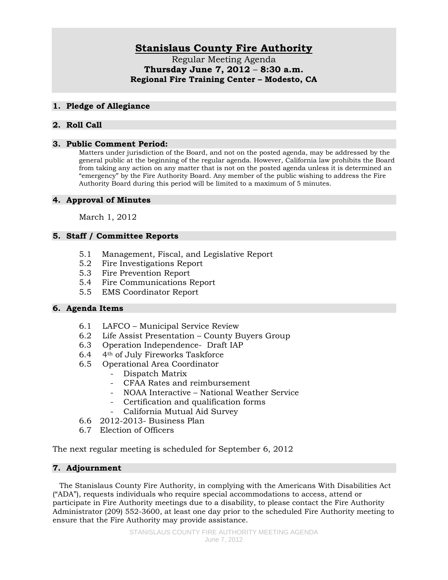# **Stanislaus County Fire Authority**

Regular Meeting Agenda **Thursday June 7, 2012** – **8:30 a.m. Regional Fire Training Center – Modesto, CA** 

#### **1. Pledge of Allegiance**

## **2. Roll Call**

#### **3. Public Comment Period:**

Matters under jurisdiction of the Board, and not on the posted agenda, may be addressed by the general public at the beginning of the regular agenda. However, California law prohibits the Board from taking any action on any matter that is not on the posted agenda unless it is determined an "emergency" by the Fire Authority Board. Any member of the public wishing to address the Fire Authority Board during this period will be limited to a maximum of 5 minutes.

## **4. Approval of Minutes**

March 1, 2012

# **5. Staff / Committee Reports**

- 5.1 Management, Fiscal, and Legislative Report
- 5.2 Fire Investigations Report
- 5.3 Fire Prevention Report
- 5.4 Fire Communications Report
- 5.5 EMS Coordinator Report

## **6. Agenda Items**

- 6.1 LAFCO Municipal Service Review
- 6.2 Life Assist Presentation County Buyers Group
- 6.3 Operation Independence- Draft IAP
- 6.4 4th of July Fireworks Taskforce
- 6.5 Operational Area Coordinator
	- Dispatch Matrix
	- CFAA Rates and reimbursement
	- NOAA Interactive National Weather Service
	- Certification and qualification forms
	- California Mutual Aid Survey
- 6.6 2012-2013- Business Plan
- 6.7 Election of Officers

The next regular meeting is scheduled for September 6, 2012

## **7. Adjournment**

 The Stanislaus County Fire Authority, in complying with the Americans With Disabilities Act ("ADA"), requests individuals who require special accommodations to access, attend or participate in Fire Authority meetings due to a disability, to please contact the Fire Authority Administrator (209) 552-3600, at least one day prior to the scheduled Fire Authority meeting to ensure that the Fire Authority may provide assistance.